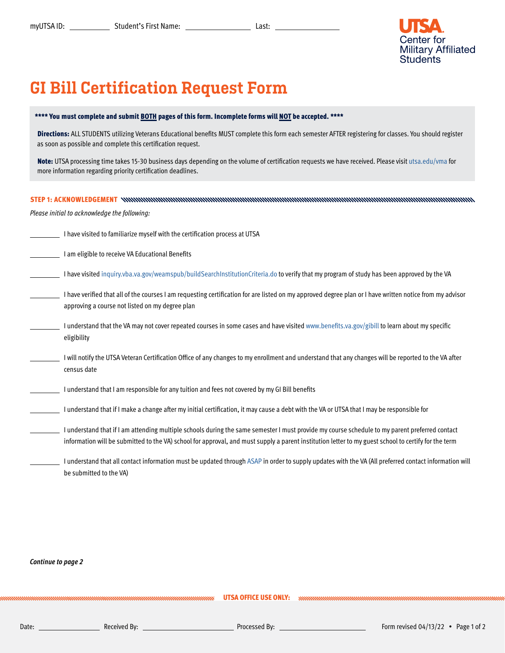

# GI Bill Certification Request Form

## \*\*\*\* You must complete and submit BOTH pages of this form. Incomplete forms will NOT be accepted. \*\*\*\*

Directions: ALL STUDENTS utilizing Veterans Educational benefits MUST complete this form each semester AFTER registering for classes. You should register as soon as possible and complete this certification request.

Note: UTSA processing time takes 15-30 business days depending on the volume of certification requests we have received. Please visit [utsa.edu/vma](https://www.utsa.edu/va/) for more information regarding priority certification deadlines.

# STEP 1: ACKNOWLEDGEMENT

## *Please initial to acknowledge the following:*

| have visited to familiarize myself with the certification process at UTSA                                                                                                                                                                                                                            |
|------------------------------------------------------------------------------------------------------------------------------------------------------------------------------------------------------------------------------------------------------------------------------------------------------|
| am eligible to receive VA Educational Benefits                                                                                                                                                                                                                                                       |
| I have visited inquiry.vba.va.gov/weamspub/buildSearchInstitutionCriteria.do to verify that my program of study has been approved by the VA                                                                                                                                                          |
| I have verified that all of the courses I am requesting certification for are listed on my approved degree plan or I have written notice from my advisor<br>approving a course not listed on my degree plan                                                                                          |
| understand that the VA may not cover repeated courses in some cases and have visited www.benefits.va.gov/gibill to learn about my specific<br>eligibility                                                                                                                                            |
| I will notify the UTSA Veteran Certification Office of any changes to my enrollment and understand that any changes will be reported to the VA after<br>census date                                                                                                                                  |
| understand that I am responsible for any tuition and fees not covered by my GI Bill benefits                                                                                                                                                                                                         |
| understand that if I make a change after my initial certification, it may cause a debt with the VA or UTSA that I may be responsible for                                                                                                                                                             |
| understand that if I am attending multiple schools during the same semester I must provide my course schedule to my parent preferred contact<br>information will be submitted to the VA) school for approval, and must supply a parent institution letter to my guest school to certify for the term |
| understand that all contact information must be updated through ASAP in order to supply updates with the VA (All preferred contact information will<br>be submitted to the VA)                                                                                                                       |
|                                                                                                                                                                                                                                                                                                      |

*Continue to page 2*

UTSA OFFICE USE ONLY: